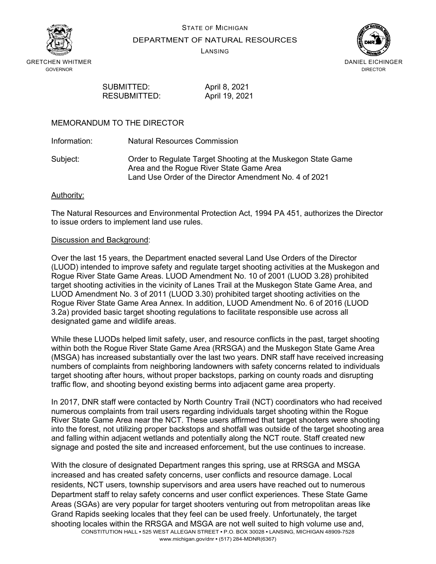



DEPARTMENT OF NATURAL RESOURCES

LANSING



SUBMITTED: April 8, 2021 RESUBMITTED: April 19, 2021

### MEMORANDUM TO THE DIRECTOR

Information: Natural Resources Commission

Subject: Order to Regulate Target Shooting at the Muskegon State Game Area and the Rogue River State Game Area Land Use Order of the Director Amendment No. 4 of 2021

### Authority:

The Natural Resources and Environmental Protection Act, 1994 PA 451, authorizes the Director to issue orders to implement land use rules.

### Discussion and Background:

Over the last 15 years, the Department enacted several Land Use Orders of the Director (LUOD) intended to improve safety and regulate target shooting activities at the Muskegon and Rogue River State Game Areas. LUOD Amendment No. 10 of 2001 (LUOD 3.28) prohibited target shooting activities in the vicinity of Lanes Trail at the Muskegon State Game Area, and LUOD Amendment No. 3 of 2011 (LUOD 3.30) prohibited target shooting activities on the Rogue River State Game Area Annex. In addition, LUOD Amendment No. 6 of 2016 (LUOD 3.2a) provided basic target shooting regulations to facilitate responsible use across all designated game and wildlife areas.

While these LUODs helped limit safety, user, and resource conflicts in the past, target shooting within both the Rogue River State Game Area (RRSGA) and the Muskegon State Game Area (MSGA) has increased substantially over the last two years. DNR staff have received increasing numbers of complaints from neighboring landowners with safety concerns related to individuals target shooting after hours, without proper backstops, parking on county roads and disrupting traffic flow, and shooting beyond existing berms into adjacent game area property.

In 2017, DNR staff were contacted by North Country Trail (NCT) coordinators who had received numerous complaints from trail users regarding individuals target shooting within the Rogue River State Game Area near the NCT. These users affirmed that target shooters were shooting into the forest, not utilizing proper backstops and shotfall was outside of the target shooting area and falling within adjacent wetlands and potentially along the NCT route. Staff created new signage and posted the site and increased enforcement, but the use continues to increase.

With the closure of designated Department ranges this spring, use at RRSGA and MSGA increased and has created safety concerns, user conflicts and resource damage. Local residents, NCT users, township supervisors and area users have reached out to numerous Department staff to relay safety concerns and user conflict experiences. These State Game Areas (SGAs) are very popular for target shooters venturing out from metropolitan areas like Grand Rapids seeking locales that they feel can be used freely. Unfortunately, the target shooting locales within the RRSGA and MSGA are not well suited to high volume use and,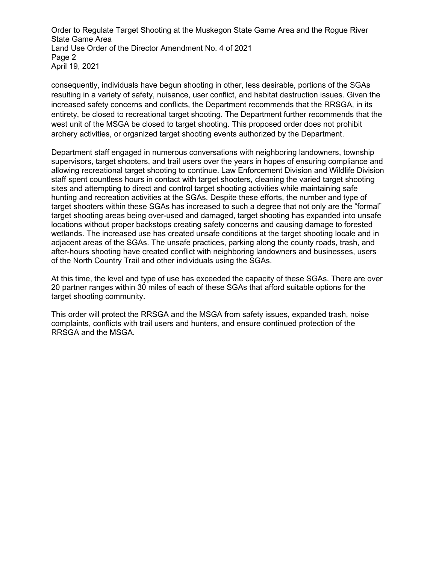Order to Regulate Target Shooting at the Muskegon State Game Area and the Rogue River State Game Area Land Use Order of the Director Amendment No. 4 of 2021 Page 2 April 19, 2021

consequently, individuals have begun shooting in other, less desirable, portions of the SGAs resulting in a variety of safety, nuisance, user conflict, and habitat destruction issues. Given the increased safety concerns and conflicts, the Department recommends that the RRSGA, in its entirety, be closed to recreational target shooting. The Department further recommends that the west unit of the MSGA be closed to target shooting. This proposed order does not prohibit archery activities, or organized target shooting events authorized by the Department.

Department staff engaged in numerous conversations with neighboring landowners, township supervisors, target shooters, and trail users over the years in hopes of ensuring compliance and allowing recreational target shooting to continue. Law Enforcement Division and Wildlife Division staff spent countless hours in contact with target shooters, cleaning the varied target shooting sites and attempting to direct and control target shooting activities while maintaining safe hunting and recreation activities at the SGAs. Despite these efforts, the number and type of target shooters within these SGAs has increased to such a degree that not only are the "formal" target shooting areas being over-used and damaged, target shooting has expanded into unsafe locations without proper backstops creating safety concerns and causing damage to forested wetlands. The increased use has created unsafe conditions at the target shooting locale and in adjacent areas of the SGAs. The unsafe practices, parking along the county roads, trash, and after-hours shooting have created conflict with neighboring landowners and businesses, users of the North Country Trail and other individuals using the SGAs.

At this time, the level and type of use has exceeded the capacity of these SGAs. There are over 20 partner ranges within 30 miles of each of these SGAs that afford suitable options for the target shooting community.

This order will protect the RRSGA and the MSGA from safety issues, expanded trash, noise complaints, conflicts with trail users and hunters, and ensure continued protection of the RRSGA and the MSGA.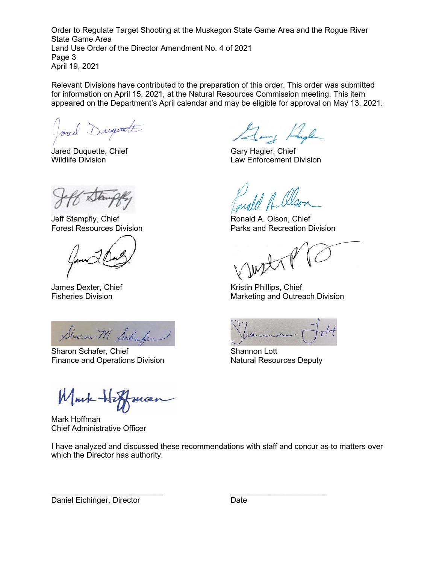Order to Regulate Target Shooting at the Muskegon State Game Area and the Rogue River State Game Area Land Use Order of the Director Amendment No. 4 of 2021 Page 3 April 19, 2021

Relevant Divisions have contributed to the preparation of this order. This order was submitted for information on April 15, 2021, at the Natural Resources Commission meeting. This item appeared on the Department's April calendar and may be eligible for approval on May 13, 2021.

Josed Duquatt

Jared Duquette, Chief Gary Hagler, Chief

Gang Hagler

Jeff Stampfly, Chief **Ronald A. Olson, Chief** Ronald A. Olson, Chief

Sharon M. Schafer

Sharon Schafer, Chief Shannon Lott Finance and Operations Division **Natural Resources Deputy** 

Mark He

Mark Hoffman Chief Administrative Officer

I have analyzed and discussed these recommendations with staff and concur as to matters over which the Director has authority.

\_\_\_\_\_\_\_\_\_\_\_\_\_\_\_\_\_\_\_\_\_\_\_\_\_\_ \_\_\_\_\_\_\_\_\_\_\_\_\_\_\_\_\_\_\_\_\_\_

Wildlife Division Law Enforcement Division

Forest Resources Division **Parks** and Recreation Division

with

James Dexter, Chief **Kristin Phillips**, Chief Kristin Phillips, Chief Fisheries Division **Marketing and Outreach Division** Marketing and Outreach Division

Daniel Eichinger, Director **Date** Date